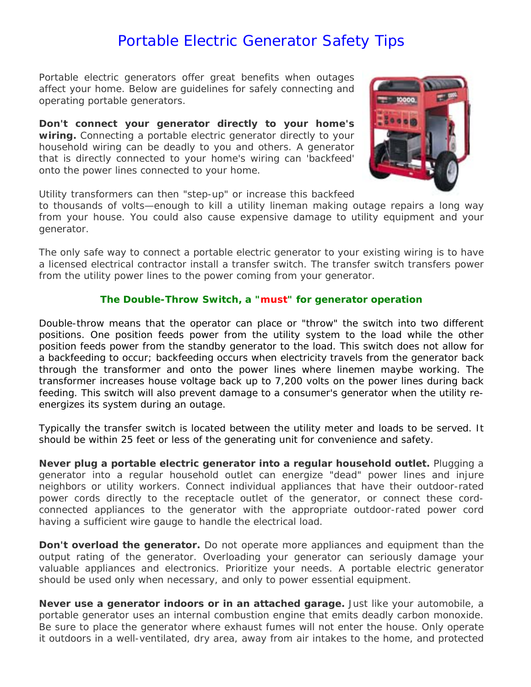# Portable Electric Generator Safety Tips

Portable electric generators offer great benefits when outages affect your home. Below are guidelines for safely connecting and operating portable generators.

**Don't connect your generator directly to your home's wiring.** Connecting a portable electric generator directly to your household wiring can be deadly to you and others. A generator that is directly connected to your home's wiring can 'backfeed' onto the power lines connected to your home.



Utility transformers can then "step-up" or increase this backfeed

to thousands of volts—enough to kill a utility lineman making outage repairs a long way from your house. You could also cause expensive damage to utility equipment and your generator.

The only safe way to connect a portable electric generator to your existing wiring is to have a licensed electrical contractor install a transfer switch. The transfer switch transfers power from the utility power lines to the power coming from your generator.

#### **The Double-Throw Switch, a "must" for generator operation**

Double-throw means that the operator can place or "throw" the switch into two different positions. One position feeds power from the utility system to the load while the other position feeds power from the standby generator to the load. This switch does not allow for a backfeeding to occur; backfeeding occurs when electricity travels from the generator back through the transformer and onto the power lines where linemen maybe working. The transformer increases house voltage back up to 7,200 volts on the power lines during back feeding. This switch will also prevent damage to a consumer's generator when the utility reenergizes its system during an outage.

Typically the transfer switch is located between the utility meter and loads to be served. It should be within 25 feet or less of the generating unit for convenience and safety.

**Never plug a portable electric generator into a regular household outlet.** Plugging a generator into a regular household outlet can energize "dead" power lines and injure neighbors or utility workers. Connect individual appliances that have their outdoor-rated power cords directly to the receptacle outlet of the generator, or connect these cordconnected appliances to the generator with the appropriate outdoor-rated power cord having a sufficient wire gauge to handle the electrical load.

**Don't overload the generator.** Do not operate more appliances and equipment than the output rating of the generator. Overloading your generator can seriously damage your valuable appliances and electronics. Prioritize your needs. A portable electric generator should be used only when necessary, and only to power essential equipment.

**Never use a generator indoors or in an attached garage.** Just like your automobile, a portable generator uses an internal combustion engine that emits deadly carbon monoxide. Be sure to place the generator where exhaust fumes will not enter the house. Only operate it outdoors in a well-ventilated, dry area, away from air intakes to the home, and protected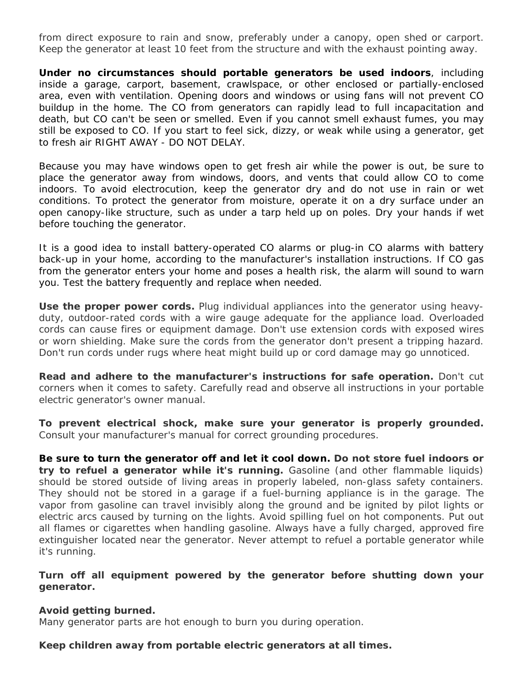from direct exposure to rain and snow, preferably under a canopy, open shed or carport. Keep the generator at least 10 feet from the structure and with the exhaust pointing away.

**Under no circumstances should portable generators be used indoors**, including inside a garage, carport, basement, crawlspace, or other enclosed or partially-enclosed area, even with ventilation. Opening doors and windows or using fans will not prevent CO buildup in the home. The CO from generators can rapidly lead to full incapacitation and death, but CO can't be seen or smelled. Even if you cannot smell exhaust fumes, you may still be exposed to CO. If you start to feel sick, dizzy, or weak while using a generator, get to fresh air RIGHT AWAY - DO NOT DELAY.

Because you may have windows open to get fresh air while the power is out, be sure to place the generator away from windows, doors, and vents that could allow CO to come indoors. To avoid electrocution, keep the generator dry and do not use in rain or wet conditions. To protect the generator from moisture, operate it on a dry surface under an open canopy-like structure, such as under a tarp held up on poles. Dry your hands if wet before touching the generator.

It is a good idea to install battery-operated CO alarms or plug-in CO alarms with battery back-up in your home, according to the manufacturer's installation instructions. If CO gas from the generator enters your home and poses a health risk, the alarm will sound to warn you. Test the battery frequently and replace when needed.

**Use the proper power cords.** Plug individual appliances into the generator using heavyduty, outdoor-rated cords with a wire gauge adequate for the appliance load. Overloaded cords can cause fires or equipment damage. Don't use extension cords with exposed wires or worn shielding. Make sure the cords from the generator don't present a tripping hazard. Don't run cords under rugs where heat might build up or cord damage may go unnoticed.

**Read and adhere to the manufacturer's instructions for safe operation.** Don't cut corners when it comes to safety. Carefully read and observe all instructions in your portable electric generator's owner manual.

**To prevent electrical shock, make sure your generator is properly grounded.** Consult your manufacturer's manual for correct grounding procedures.

**Be sure to turn the generator off and let it cool down. Do not store fuel indoors or try to refuel a generator while it's running.** Gasoline (and other flammable liquids) should be stored outside of living areas in properly labeled, non-glass safety containers. They should not be stored in a garage if a fuel-burning appliance is in the garage. The vapor from gasoline can travel invisibly along the ground and be ignited by pilot lights or electric arcs caused by turning on the lights. Avoid spilling fuel on hot components. Put out all flames or cigarettes when handling gasoline. Always have a fully charged, approved fire extinguisher located near the generator. Never attempt to refuel a portable generator while it's running.

#### **Turn off all equipment powered by the generator before shutting down your generator.**

#### **Avoid getting burned.**

Many generator parts are hot enough to burn you during operation.

**Keep children away from portable electric generators at all times.**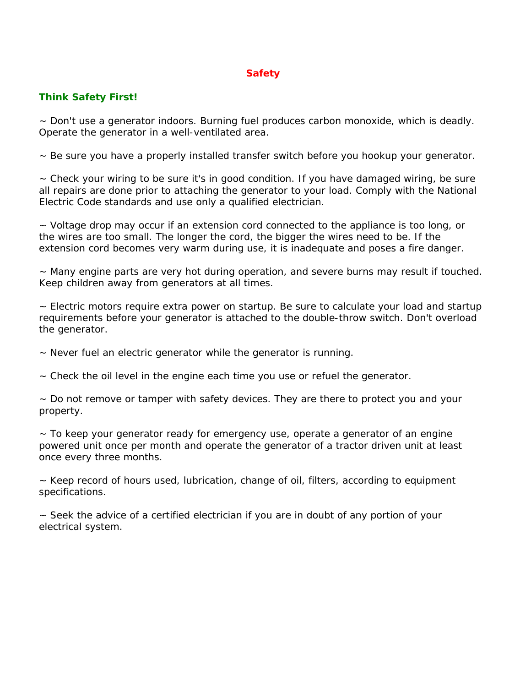## **Safety**

### **Think Safety First!**

~ Don't use a generator indoors. Burning fuel produces carbon monoxide, which is deadly. Operate the generator in a well-ventilated area.

 $\sim$  Be sure you have a properly installed transfer switch before you hookup your generator.

~ Check your wiring to be sure it's in good condition. If you have damaged wiring, be sure all repairs are done prior to attaching the generator to your load. Comply with the National Electric Code standards and use only a qualified electrician.

~ Voltage drop may occur if an extension cord connected to the appliance is too long, or the wires are too small. The longer the cord, the bigger the wires need to be. If the extension cord becomes very warm during use, it is inadequate and poses a fire danger.

~ Many engine parts are very hot during operation, and severe burns may result if touched. Keep children away from generators at all times.

 $\sim$  Electric motors require extra power on startup. Be sure to calculate your load and startup requirements before your generator is attached to the double-throw switch. Don't overload the generator.

~ Never fuel an electric generator while the generator is running.

 $\sim$  Check the oil level in the engine each time you use or refuel the generator.

~ Do not remove or tamper with safety devices. They are there to protect you and your property.

~ To keep your generator ready for emergency use, operate a generator of an engine powered unit once per month and operate the generator of a tractor driven unit at least once every three months.

~ Keep record of hours used, lubrication, change of oil, filters, according to equipment specifications.

~ Seek the advice of a certified electrician if you are in doubt of any portion of your electrical system.